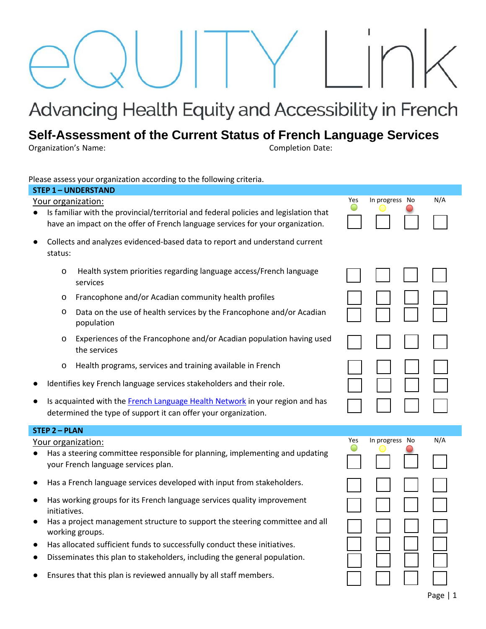# Advancing Health Equity and Accessibility in French

# **Self-Assessment of the Current Status of French Language Services**

Organization's Name: Completion Date:

Please assess your organization according to the following criteria.

| icase assess your organization according to the following<br><b>STEP 1-UNDERSTAND</b>                                                                  |                                                                                                                                                                                               |                                                                                                                                                |     |                |     |
|--------------------------------------------------------------------------------------------------------------------------------------------------------|-----------------------------------------------------------------------------------------------------------------------------------------------------------------------------------------------|------------------------------------------------------------------------------------------------------------------------------------------------|-----|----------------|-----|
| N/A<br>Yes<br>In progress No                                                                                                                           |                                                                                                                                                                                               |                                                                                                                                                |     |                |     |
|                                                                                                                                                        | Your organization:<br>Is familiar with the provincial/territorial and federal policies and legislation that<br>have an impact on the offer of French language services for your organization. |                                                                                                                                                |     |                |     |
|                                                                                                                                                        | Collects and analyzes evidenced-based data to report and understand current<br>status:                                                                                                        |                                                                                                                                                |     |                |     |
|                                                                                                                                                        | O                                                                                                                                                                                             | Health system priorities regarding language access/French language<br>services                                                                 |     |                |     |
|                                                                                                                                                        | $\circ$                                                                                                                                                                                       | Francophone and/or Acadian community health profiles                                                                                           |     |                |     |
|                                                                                                                                                        | $\circ$                                                                                                                                                                                       | Data on the use of health services by the Francophone and/or Acadian<br>population                                                             |     |                |     |
|                                                                                                                                                        | $\circ$                                                                                                                                                                                       | Experiences of the Francophone and/or Acadian population having used<br>the services                                                           |     |                |     |
|                                                                                                                                                        | $\circ$                                                                                                                                                                                       | Health programs, services and training available in French                                                                                     |     |                |     |
|                                                                                                                                                        | Identifies key French language services stakeholders and their role.                                                                                                                          |                                                                                                                                                |     |                |     |
|                                                                                                                                                        |                                                                                                                                                                                               | Is acquainted with the French Language Health Network in your region and has<br>determined the type of support it can offer your organization. |     |                |     |
| <b>STEP 2 - PLAN</b>                                                                                                                                   |                                                                                                                                                                                               |                                                                                                                                                |     |                |     |
| Your organization:<br>Has a steering committee responsible for planning, implementing and updating<br>$\bullet$<br>your French language services plan. |                                                                                                                                                                                               |                                                                                                                                                | Yes | In progress No | N/A |
|                                                                                                                                                        | Has a French language services developed with input from stakeholders.                                                                                                                        |                                                                                                                                                |     |                |     |
|                                                                                                                                                        | Has working groups for its French language services quality improvement<br>initiatives.                                                                                                       |                                                                                                                                                |     |                |     |
|                                                                                                                                                        | Has a project management structure to support the steering committee and all<br>working groups.                                                                                               |                                                                                                                                                |     |                |     |
|                                                                                                                                                        | Has allocated sufficient funds to successfully conduct these initiatives.                                                                                                                     |                                                                                                                                                |     |                |     |
|                                                                                                                                                        |                                                                                                                                                                                               | Disseminates this plan to stakeholders, including the general population.                                                                      |     |                |     |
|                                                                                                                                                        |                                                                                                                                                                                               | Ensures that this plan is reviewed annually by all staff members.                                                                              |     |                |     |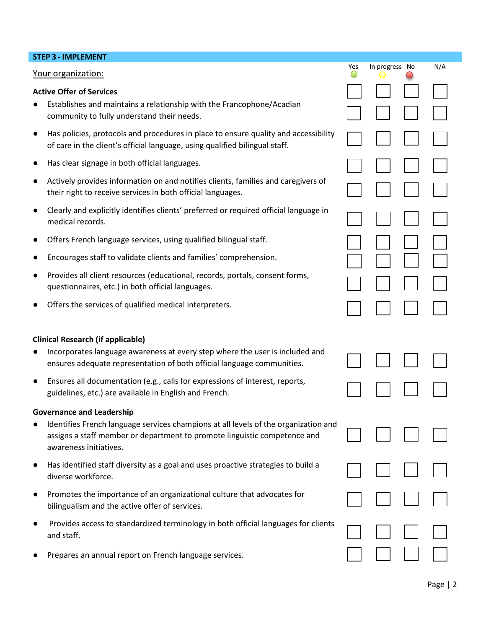### **STEP 3 - IMPLEMENT**

#### Your organization:

#### **Active Offer of Services**

- Establishes and maintains a relationship with the Francophone/Acadian community to fully understand their needs.
- Has policies, protocols and procedures in place to ensure quality and accessibility of care in the client's official language, using qualified bilingual staff.
- Has clear signage in both official languages.
- Actively provides information on and notifies clients, families and caregivers of their right to receive services in both official languages.
- Clearly and explicitly identifies clients' preferred or required official language in medical records.
- Offers French language services, using qualified bilingual staff.
- Encourages staff to validate clients and families' comprehension.
- Provides all client resources (educational, records, portals, consent forms, questionnaires, etc.) in both official languages.
- Offers the services of qualified medical interpreters.

#### **Clinical Research (if applicable)**

- Incorporates language awareness at every step where the user is included and ensures adequate representation of both official language communities.
- Ensures all documentation (e.g., calls for expressions of interest, reports, guidelines, etc.) are available in English and French.

#### **Governance and Leadership**

- Identifies French language services champions at all levels of the organization and assigns a staff member or department to promote linguistic competence and awareness initiatives.
- Has identified staff diversity as a goal and uses proactive strategies to build a<br>diverse workforce.
- Promotes the importance of an organizational culture that advocates for bilingualism and the active offer of services.
- Provides access to standardized terminology in both official languages for clients and staff.  $\Box$   $\Box$   $\Box$   $\Box$   $\Box$   $\Box$
- Prepares an annual report on French language services.

Yes In progress No N/A

☐ ☐ ☐ ☐